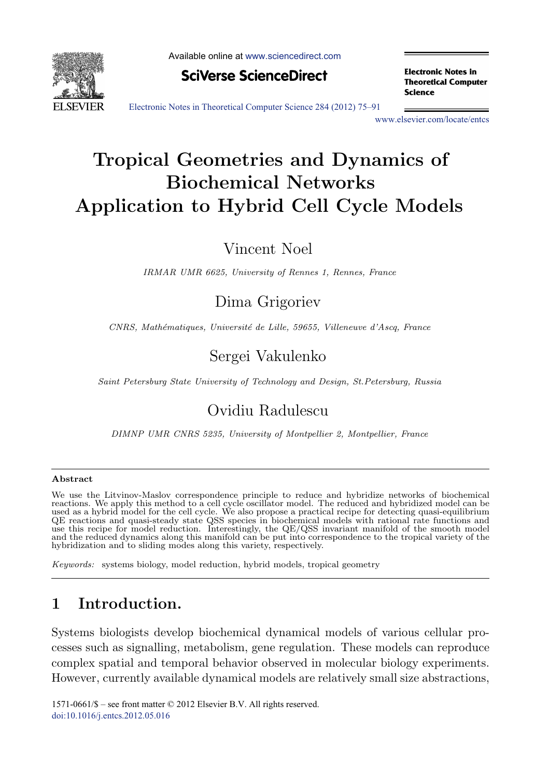

Available online at www.sciencedirect.com

**SciVerse ScienceDirect** 

**Electronic Notes in Theoretical Computer Science** 

Electronic Notes in Theoretical Computer Science 284 (2012) 75–91

www.elsevier.com/locate/entcs

# **Tropical Geometries and Dynamics of Biochemical Networks Application to Hybrid Cell Cycle Models**

# Vincent Noel

IRMAR UMR 6625, University of Rennes 1, Rennes, France

# Dima Grigoriev

CNRS, Mathématiques, Université de Lille, 59655, Villeneuve d'Ascq, France

# Sergei Vakulenko

Saint Petersburg State University of Technology and Design, St.Petersburg, Russia

# Ovidiu Radulescu

DIMNP UMR CNRS 5235, University of Montpellier 2, Montpellier, France

### **Abstract**

We use the Litvinov-Maslov correspondence principle to reduce and hybridize networks of biochemical reactions. We apply this method to a cell cycle oscillator model. The reduced and hybridized model can be used as a hybrid model for the cell cycle. We also propose a practical recipe for detecting quasi-equilibrium QE reactions and quasi-steady state QSS species in biochemical models with rational rate functions and use this recipe for model reduction. Interestingly, the QE/QSS invariant manifold of the smooth model<br>and the reduced dynamics along this manifold can be put into correspondence to the tropical variety of the<br>hybridization

Keywords: systems biology, model reduction, hybrid models, tropical geometry

# **1 Introduction.**

Systems biologists develop biochemical dynamical models of various cellular processes such as signalling, metabolism, gene regulation. These models can reproduce complex spatial and temporal behavior observed in molecular biology experiments. However, currently available dynamical models are relatively small size abstractions,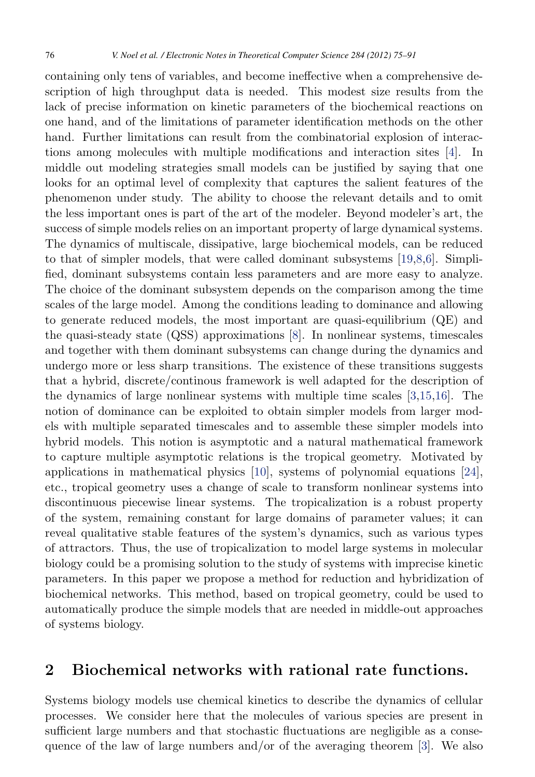containing only tens of variables, and become ineffective when a comprehensive description of high throughput data is needed. This modest size results from the lack of precise information on kinetic parameters of the biochemical reactions on one hand, and of the limitations of parameter identification methods on the other hand. Further limitations can result from the combinatorial expl[osio](#page-16-0)[n](#page-15-0) [o](#page-15-0)f interactions among molecules with multiple modifications and interaction sites [4]. In middle out modeling strategies small models can be justified by saying that one looks for an optimal level of complexity that captures the salient features of the phenomenon under study. The ability to choose the relevant details and to omit the less important ones is part of the art of th[e](#page-15-0) [m](#page-15-0)odeler. Beyond modeler's art, the success of simple models relies on an important property of large dynamical systems. The dynamics of multiscale, dissipative, large biochemical models, can be reduced to that of simpler models, that were called dominant subsystems [19,8,6]. Simplified, dominant subsystems contain less parameters and are more ea[sy](#page-15-0) [to](#page-15-0) [an](#page-15-0)alyze. The choice of the dominant subsystem depends on the comparison among the time scales of the large model. Among the conditions leading to dominance and allowing to generate reduced models, the most important are quasi-equilibrium (QE) and the quasi-steady state (QSS) approximations [8]. In nonlinear systems, timescales and together with them dominant subs[yste](#page-15-0)ms can change during the dynamics [and](#page-16-0) undergo more or less sharp transitions. The existence of these transitions suggests that a hybrid, discrete/continous framework is well adapted for the description of the dynamics of large nonlinear systems with multiple time scales [3,15,16]. The notion of dominance can be exploited to obtain simpler models from larger models with multiple separated timescales and to assemble these simpler models into hybrid models. This notion is asymptotic and a natural mathematical framework to capture multiple asymptotic relations is the tropical geometry. Motivated by applications in mathematical physics [10], systems of polynomial equations [24], etc., tropical geometry uses a change of scale to transform nonlinear systems into discontinuous piecewise linear systems. The tropicalization is a robust property of the system, remaining constant for large domains of parameter values; it can reveal qualitative stable features of the system's dynamics, such as various types of attractors. Thus, the use of tropicalization to model large systems in molecular biology could be a promising solution to the study of systems with imprecise kinetic parameters. In this paper we propose a method for reduction and hybridization of biochemical networks. This method, based on tropical geometry, could be used to automatically produce the simple models that are needed in middle-ou[t](#page-15-0) [a](#page-15-0)pproaches of systems biology.

### **2 Biochemical networks with rational rate functions.**

Systems biology models use chemical kinetics to describe the dynamics of cellular processes. We consider here that the molecules of various species are present in sufficient large numbers and that stochastic fluctuations are negligible as a consequence of the law of large numbers and/or of the averaging theorem [3]. We also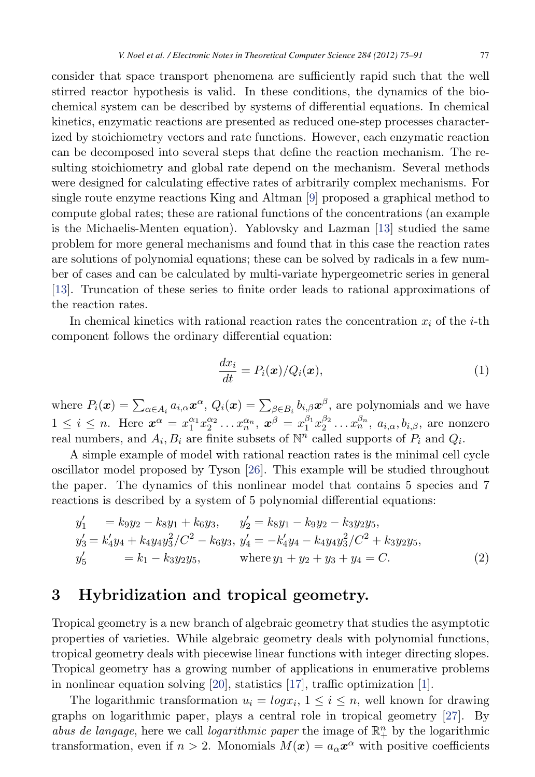<span id="page-2-0"></span>consider that space transport phenomena are s[uffi](#page-15-0)ciently rapid such that the well stirred reactor hypothesis is valid. In these conditions, the dynamics of the biochemical system can be described by systems of differential e[qua](#page-15-0)tions. In chemical kinetics, enzymatic reactions are presented as reduced one-step processes characterized by stoichiometry vectors and rate functions. However, each enzymatic reaction can be decomposed into several steps that define the reaction mechanism. The re[sult](#page-15-0)ing stoichiometry and global rate depend on the mechanism. Several methods were designed for calculating effective rates of arbitrarily complex mechanisms. For single route enzyme reactions King and Altman [9] proposed a graphical method to compute global rates; these are rational functions of the concentrations (an example is the Michaelis-Menten equation). Yablovsky and Lazman [13] studied the same problem for more general mechanisms and found that in this case the reaction rates are solutions of polynomial equations; these can be solved by radicals in a few number of cases and can be calculated by multi-variate hypergeometric series in general [13]. Truncation of these series to finite order leads to rational approximations of the reaction rates.

In chemical kinetics with rational reaction rates the concentration  $x_i$  of the *i*-th component follows the ordinary diffe[ren](#page-16-0)tial equation:

$$
\frac{dx_i}{dt} = P_i(\boldsymbol{x})/Q_i(\boldsymbol{x}),\tag{1}
$$

where  $P_i(\boldsymbol{x}) = \sum_{\alpha \in A_i} a_{i,\alpha} \boldsymbol{x}^{\alpha}, Q_i(\boldsymbol{x}) = \sum_{\beta \in B_i} b_{i,\beta} \boldsymbol{x}^{\beta},$  are polynomials and we have  $1 \leq i \leq n$ . Here  $\boldsymbol{x}^{\alpha} = x_1^{\alpha_1} x_2^{\alpha_2} \dots x_n^{\alpha_n}$ ,  $\boldsymbol{x}^{\beta} = x_1^{\beta_1} x_2^{\beta_2} \dots x_n^{\beta_n}$ ,  $a_{i,\alpha}, b_{i,\beta}$ , are nonzero real numbers, and  $A_i, B_i$  are finite subsets of  $\mathbb{N}^n$  called supports of  $P_i$  and  $Q_i$ .

A simple example of model with rational reaction rates is the minimal cell cycle oscillator model proposed by Tyson [26]. This example will be studied throughout the paper. The dynamics of this nonlinear model that contains 5 species and 7 reactions is described by a system of 5 polynomial differential equations:

$$
y'_1 = k_9y_2 - k_8y_1 + k_6y_3, \t y'_2 = k_8y_1 - k_9y_2 - k_3y_2y_5,
$$
  
\n
$$
y'_3 = k'_4y_4 + k_4y_4y_3^2/C^2 - k_6y_3, \t y'_4 = -k'_4y_4 - k_4y_4y_3^2/C^2 + k_3y_2y_5,
$$
  
\n
$$
y'_5 = k_1 - k_3y_2y_5, \t \t \text{where } y_1 + y_2 + y_3 + y_4 = C.
$$
\n(2)

# **3 Hybridization and tropical geometry.**

Tropical geometry is a new branch of algebraic geometry that studies the asymptotic properties of varieties. While algebraic geometry deals with polynomial functions, tropical geometry deals with piecewise linear functions with integer directing slopes. Tropical geometry has a growing number of applications in enumerative problems in nonlinear equation solving [20], statistics [17], traffic optimization [1].

The logarithmic transformation  $u_i = log x_i$ ,  $1 \leq i \leq n$ , well known for drawing graphs on logarithmic paper, plays a central role in tropical geometry [27]. By abus de langage, here we call logarithmic paper the image of  $\mathbb{R}^n_+$  by the logarithmic transformation, even if  $n > 2$ . Monomials  $M(x) = a_{\alpha} x^{\alpha}$  with positive coefficients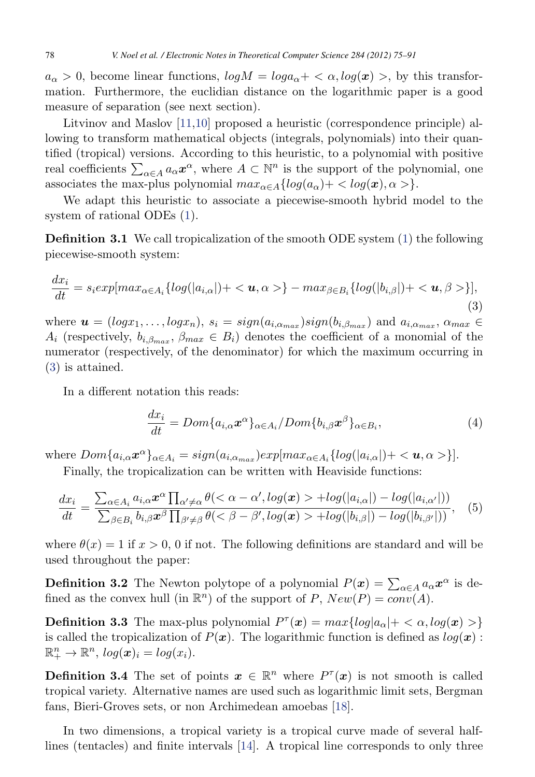$a_{\alpha} > 0$ , become linear functions,  $log M = log a_{\alpha} + \langle \alpha, log(x) \rangle$ , by this transformation. Furthermore, th[e e](#page-2-0)uclidian distance on the logarithmic paper is a good measure of separation (see next section).

Litvinov and Maslov [11,10] proposed a heuristic (corresponden[ce](#page-2-0) principle) allowing to transform mathematical objects (integrals, polynomials) into their quantified (tropical) versions. According to this heuristic, to a polynomial with positive real coefficients  $\sum_{\alpha \in A} a_{\alpha} x^{\alpha}$ , where  $A \subset \mathbb{N}^n$  is the support of the polynomial, one associates the max-plus polynomial  $max_{\alpha \in A} \{log(a_{\alpha}) + \langle log(x), \alpha \rangle\}.$ 

We adapt this heuristic to associate a piecewise-smooth hybrid model to the system of rational ODEs (1).

**Definition 3.1** We call tropicalization of the smooth ODE system (1) the following piecewise-smooth system:

$$
\frac{dx_i}{dt} = s_i exp[max_{\alpha \in A_i} \{log(|a_{i,\alpha}|) + \langle \mathbf{u}, \alpha \rangle\} - max_{\beta \in B_i} \{log(|b_{i,\beta}|) + \langle \mathbf{u}, \beta \rangle\} ],
$$
\n(3)

where  $u = (log x_1, \ldots, log x_n), s_i = sign(a_{i, \alpha_{max}}) sign(b_{i, \beta_{max}})$  and  $a_{i, \alpha_{max}}, \alpha_{max} \in$  $A_i$  (respectively,  $b_{i,\beta_{max}}, \beta_{max} \in B_i$ ) denotes the coefficient of a monomial of the numerator (respectively, of the denominator) for which the maximum occurring in (3) is attained.

In a different notation this reads:

$$
\frac{dx_i}{dt} = Dom\{a_{i,\alpha}\boldsymbol{x}^{\alpha}\}_{\alpha \in A_i}/Dom\{b_{i,\beta}\boldsymbol{x}^{\beta}\}_{\alpha \in B_i},\tag{4}
$$

where  $Dom{a_{i,\alpha}\mathbf{x}^{\alpha}}_{\alpha \in A_i} = sign(a_{i,\alpha_{max}})exp[ max_{\alpha \in A_i} \{log(|a_{i,\alpha}|) + \langle \mathbf{u}, \alpha \rangle \}].$ Finally, the tropicalization can be written with Heaviside functions:

$$
\frac{dx_i}{dt} = \frac{\sum_{\alpha \in A_i} a_{i,\alpha} x^{\alpha} \prod_{\alpha' \neq \alpha} \theta(<\alpha - \alpha', log(x) > +log(|a_{i,\alpha}|) - log(|a_{i,\alpha}'|))}{\sum_{\beta \in B_i} b_{i,\beta} x^{\beta} \prod_{\beta' \neq \beta} \theta(<\beta - \beta', log(x) > +log(|b_{i,\beta}|) - log(|b_{i,\beta'}|))},
$$
(5)

where  $\theta(x) = 1$  if  $x > 0$ , 0 if not. The following definitions are standard and will be used throughout the paper:

**Definition 3.2** The Newton polytope of a polynomial  $P(x) = \sum_{\alpha \in A} a_{\alpha} x^{\alpha}$  $P(x) = \sum_{\alpha \in A} a_{\alpha} x^{\alpha}$  is defined as the convex hull (in  $\mathbb{R}^n$ ) of the support of  $P$ . New( $P$ ) = conv(A) fined as the convex hull (in  $\mathbb{R}^n$ ) of the support of P,  $New(P) = conv(A)$ .

**Definition 3.3** The max-plus poly[nom](#page-15-0)ial  $P^{\tau}(x) = max\{log|a_{\alpha}| + \langle \alpha, log(x) \rangle\}$ is called the tropicalization of  $P(x)$ . The logarithmic function is defined as  $log(x)$ :  $\mathbb{R}^n_+ \to \mathbb{R}^n$ ,  $log(\mathbf{x})_i = log(x_i)$ .

**Definition 3.4** The set of points  $x \in \mathbb{R}^n$  where  $P^{\tau}(x)$  is not smooth is called tropical variety. Alternative names are used such as logarithmic limit sets, Bergman fans, Bieri-Groves sets, or non Archimedean amoebas [18].

In two dimensions, a tropical variety is a tropical curve made of several halflines (tentacles) and finite intervals [14]. A tropical line corresponds to only three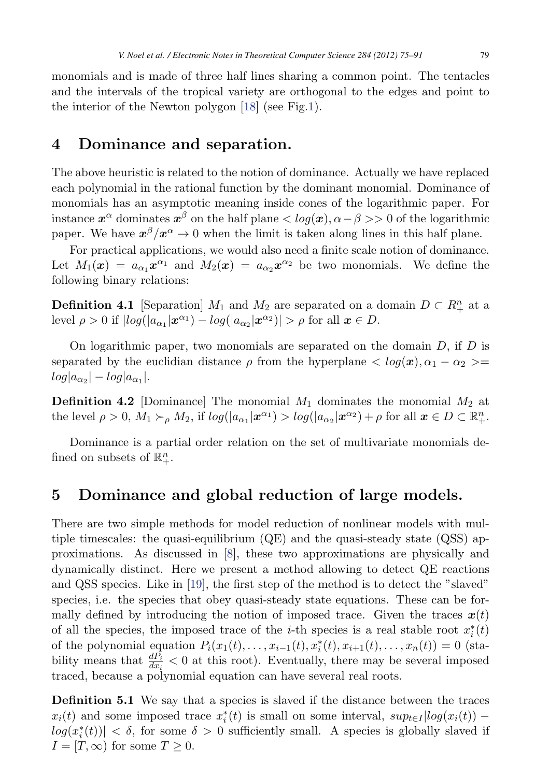monomials and is made of three half lines sharing a common point. The tentacles and the intervals of the tropical variety are orthogonal to the edges and point to the interior of the Newton polygon [18] (see Fig.1).

### **4 Dominance and separation.**

The above heuristic is related to the notion of dominance. Actually we have replaced each polynomial in the rational function by the dominant monomial. Dominance of monomials has an asymptotic meaning inside cones of the logarithmic paper. For instance  $x^{\alpha}$  dominates  $x^{\beta}$  on the half plane  $\langle log(x), \alpha - \beta \rangle > 0$  of the logarithmic paper. We have  $x^{\beta}/x^{\alpha} \to 0$  when the limit is taken along lines in this half plane.

For practical applications, we would also need a finite scale notion of dominance. Let  $M_1(x) = a_{\alpha_1} x^{\alpha_1}$  and  $M_2(x) = a_{\alpha_2} x^{\alpha_2}$  be two monomials. We define the following binary relations:

**Definition 4.1** [Separation]  $M_1$  and  $M_2$  are separated on a domain  $D \subset R^n_+$  at a layer  $a > 0$  if  $l \log(|a - |a^{\alpha_1}|)$   $l \log(|a - |a^{\alpha_2}|) > a$  for all  $x \in D$ level  $\rho > 0$  if  $|log(|a_{\alpha_1}|\mathbf{x}^{\alpha_1}) - log(|a_{\alpha_2}|\mathbf{x}^{\alpha_2})| > \rho$  for all  $\mathbf{x} \in D$ .

On logarithmic paper, two monomials are separated on the domain  $D$ , if  $D$  is separated by the euclidian distance  $\rho$  from the hyperplane  $\langle log(x), \alpha_1 - \alpha_2 \rangle$  $log|a_{\alpha_2}| - log|a_{\alpha_1}|.$ 

**Definition 4.2** [Dominance] The monomial  $M_1$  dominates the monomial  $M_2$  at the level  $\rho > 0$ ,  $M_1 \succ_{\rho} M_2$ , if  $log(|a_{\alpha_1}|\mathbf{x}^{\alpha_1}) > log(|a_{\alpha_2}|\mathbf{x}^{\alpha_2}) + \rho$  $log(|a_{\alpha_1}|\mathbf{x}^{\alpha_1}) > log(|a_{\alpha_2}|\mathbf{x}^{\alpha_2}) + \rho$  $log(|a_{\alpha_1}|\mathbf{x}^{\alpha_1}) > log(|a_{\alpha_2}|\mathbf{x}^{\alpha_2}) + \rho$  for all  $\mathbf{x} \in D \subset \mathbb{R}^n_+$ .

Dominance is a partial order relation on the set of multivariate monomials defined on subsets of  $\mathbb{R}^n_+$ .

### **5 Dominance and global reduction of large models.**

There are two simple methods for model reduction of nonlinear models with multiple timescales: the quasi-equilibrium  $(QE)$  and the quasi-steady state  $(QSS)$  approximations. As discussed in [8], these two approximations are physically and dynamically distinct. Here we present a method allowing to detect QE reactions and QSS species. Like in [19], the first step of the method is to detect the "slaved" species, i.e. the species that obey quasi-steady state equations. These can be formally defined by introducing the notion of imposed trace. Given the traces  $x(t)$ of all the species, the imposed trace of the *i*-th species is a real stable root  $x_i^*(t)$ of the polynomial equation  $P_i(x_1(t),...,x_{i-1}(t),x_i^*(t),x_{i+1}(t),...,x_n(t))=0$  (stability means that  $\frac{dP_i}{dx_i} < 0$  at this root). Eventually, there may be several imposed traced, because a polynomial equation can have several real roots.

**Definition 5.1** We say that a species is slaved if the distance between the traces  $x_i(t)$  and some imposed trace  $x_i^*(t)$  is small on some interval,  $sup_{t\in I}|log(x_i(t))$  $log(x_i^*(t)) < \delta$ , for some  $\delta > 0$  sufficiently small. A species is globally slaved if  $I = [T, \infty)$  for some  $T \geq 0$ .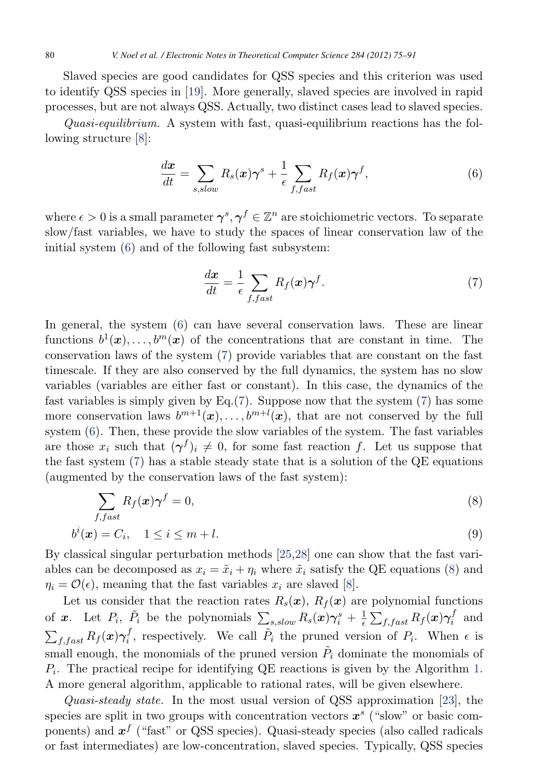Slaved species are good candidates for QSS species and this criterion was used to identify QSS species in [19]. More generally, slaved species are involved in rapid processes, but are not always QSS. Actually, two distinct cases lead to slaved species.

Quasi-equilibrium. A system with fast, quasi-equilibrium reactions has the following structure [8]:

$$
\frac{dx}{dt} = \sum_{s,slow} R_s(x)\gamma^s + \frac{1}{\epsilon} \sum_{f, fast} R_f(x)\gamma^f,\tag{6}
$$

where  $\epsilon > 0$  is a small parameter  $\gamma^s, \gamma^f \in \mathbb{Z}^n$  are stoichiometric vectors. To separate slow/fast variables, we have to study the spaces of linear conservation law of the initial system (6) and of the following fast subsystem:

$$
\frac{d\boldsymbol{x}}{dt} = \frac{1}{\epsilon} \sum_{f, fast} R_f(\boldsymbol{x}) \boldsymbol{\gamma}^f. \tag{7}
$$

In general, the system (6) can have several conservation laws. These are linear functions  $b^1(x), \ldots, b^m(x)$  of the concentrations that are constant in time. The conservation laws of the system (7) provide variables that are constant on the fast timescale. If they are also conserved by the full dynamics, the system has no slow variables (variables are either fast or constant). In this case, the dynamics of the fast variables is simply given by  $Eq.(7)$ . Suppose now that the system  $(7)$  has some more conservation laws  $b^{m+1}(\boldsymbol{x}), \ldots, b^{m+l}(\boldsymbol{x}),$  that are not conserved by the full system (6). Then, these provide the slow var[iables](#page-16-0) of the system. The fast variables are those  $x_i$  such that  $(\gamma^f)_i \neq 0$ , for some fast reaction f. Let us suppose that the fast system  $(7)$  has a stable steady state that is a sol[ut](#page-15-0)ion of the QE equations (augmented by the conservation laws of the fast system):

$$
\sum_{f, fast} R_f(x)\gamma^f = 0,\tag{8}
$$

$$
b^{i}(\boldsymbol{x}) = C_{i}, \quad 1 \leq i \leq m + l. \tag{9}
$$

By classical singular perturbation methods [25,28] one can show that the fast variables can be decomposed as  $x_i = \tilde{x}_i + \eta_i$  where  $\tilde{x}_i$  satisfy the QE equations [\(8](#page-16-0)) and  $\eta_i = \mathcal{O}(\epsilon)$ , meaning that the fast variables  $x_i$  are slaved [8].

Let us consider that the reaction rates  $R_s(\mathbf{x})$ ,  $R_f(\mathbf{x})$  are polynomial functions of *x*. Let  $P_i$ ,  $\tilde{P}_i$  be the polynomials  $\sum_{s, slow} R_s(x)\gamma_i^s + \frac{1}{\epsilon}\sum_{f, fast} R_f(x)\gamma_i^f$  and  $\sum_{f,fast} R_f(x) \gamma_i^f$ , respectively. We call  $\tilde{P}_i$  the pruned version of  $P_i$ . When  $\epsilon$  is small enough, the monomials of the pruned version  $P_i$  dominate the monomials of  $P_i$ . The practical recipe for identifying QE reactions is given by the Algorithm 1. A more general algorithm, applicable to rational rates, will be given elsewhere.

Quasi-steady state. In the most usual version of QSS approximation [23], the species are split in two groups with concentration vectors  $x^s$  ("slow" or basic components) and *x*<sup>f</sup> ("fast" or QSS species). Quasi-steady species (also called radicals or fast intermediates) are low-concentration, slaved species. Typically, QSS species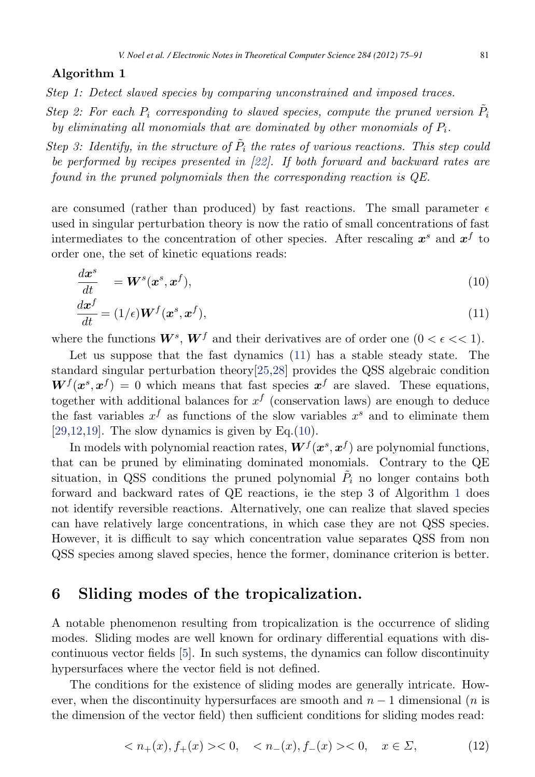<span id="page-6-0"></span>**Algorithm 1** Step 1: Detect slaved species by comparing unconstrained and imposed traces.

Step 2: For each  $P_i$  corresponding to slaved species, compute the pruned version  $P_i$ by eliminating all monomials that are dominated by other monomials of  $P_i$ .

Step 3: Identify, in the structure of  $\tilde{P}_i$  the rates of various reactions. This step could be performed by recipes presented in [22]. If both forward and backward rates are found in the pruned polynomials then the corresponding reaction is QE.

are consumed (rather than produced) by fast reactions. The small parameter  $\epsilon$ used in singular perturbation theory is now the ratio of small concentrations of fast intermediates to the concentration of [other](#page-16-0) species. After rescaling  $x^s$  and  $x^f$  to order one, the set of kinetic equations reads:

$$
\frac{d\boldsymbol{x}^s}{dt} = \boldsymbol{W}^s(\boldsymbol{x}^s, \boldsymbol{x}^f),\tag{10}
$$

$$
\frac{d\boldsymbol{x}^f}{dt} = (1/\epsilon)\boldsymbol{W}^f(\boldsymbol{x}^s, \boldsymbol{x}^f),\tag{11}
$$

where the functions  $W^s$ ,  $W^f$  and their derivatives are of order one  $(0 < \epsilon < 1)$ .

Let us suppose that the fast dynamics (11) has a stable steady state. The standard singular perturbation theory[25,28] provides the QSS algebraic condition  $W^f(x^s, x^f) = 0$  which means that fast species  $x^f$  are slaved. These equations, together with additional balances for  $x<sup>f</sup>$  (conservation laws) are enough to deduce the fast variables  $x<sup>f</sup>$  as functions of the slow variables  $x<sup>s</sup>$  and to eliminate them [29,12,19]. The slow dynamics is given by Eq. $(10)$ .

In models with polynomial reaction rates,  $W^f(x^s, x^f)$  are polynomial functions, that can be pruned by eliminating dominated monomials. Contrary to the QE situation, in QSS conditions the pruned polynomial  $\tilde{P}_i$  no longer contains both forward and backward rates of QE reactions, ie the step 3 of Algorithm 1 does not identify reversible reactions. Alternatively, one can realize that slaved species can have relatively larg[e c](#page-15-0)oncentrations, in which case they are not QSS species. However, it is difficult to say which concentration value separates QSS from non QSS species among slaved species, hence the former, dominance criterion is better.

### **6 Sliding modes of the tropicalization.**

A notable phenomenon resulting from tropicalization is the occurrence of sliding modes. Sliding modes are well known for ordinary differential equations with discontinuous vector fields [5]. In such systems, the dynamics can follow discontinuity hypersurfaces where the vector field is not defined.

The conditions for the existence of sliding modes are generally intricate. However, when the discontinuity hypersurfaces are smooth and  $n-1$  dimensional (*n* is the dimension of the vector field) then sufficient conditions for sliding modes read:

$$
\langle n_{+}(x), f_{+}(x) \rangle \langle 0, \quad \langle n_{-}(x), f_{-}(x) \rangle \langle 0, \quad x \in \Sigma, \tag{12}
$$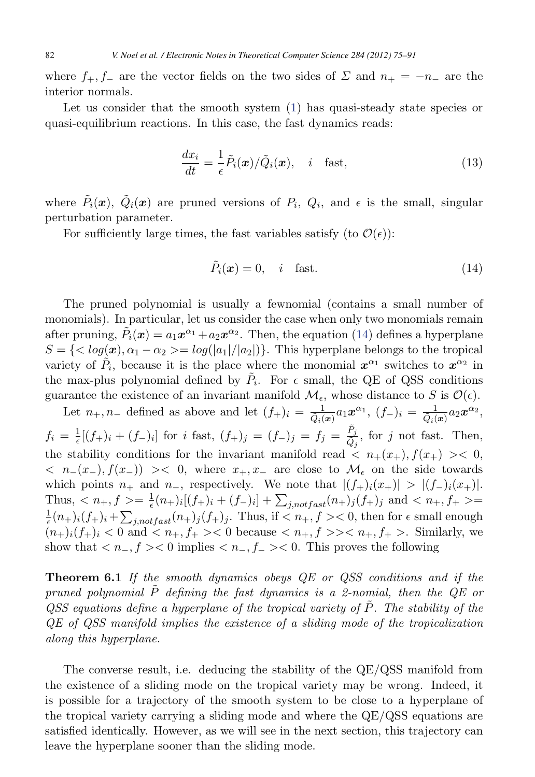where  $f_+, f_-$  are the vector fields on the two sides of  $\Sigma$  and  $n_+ = -n_-$  are the interior normals.

Let us consider that the smooth system  $(1)$  has quasi-steady state species or quasi-equilibrium reactions. In this case, the fast dynamics reads:

$$
\frac{dx_i}{dt} = \frac{1}{\epsilon}\tilde{P}_i(\boldsymbol{x})/\tilde{Q}_i(\boldsymbol{x}), \quad i \quad \text{fast},
$$
\n(13)

where  $\tilde{P}_i(\boldsymbol{x}), \tilde{Q}_i(\boldsymbol{x})$  are pruned versions of  $P_i, Q_i$ , and  $\epsilon$  is the small, singular perturbation parameter.

For sufficiently large times, the fast variables satisfy (to  $\mathcal{O}(\epsilon)$ ):

$$
\tilde{P}_i(\boldsymbol{x}) = 0, \quad i \quad \text{fast.} \tag{14}
$$

The pruned polynomial is usually a fewnomial (contains a small number of monomials). In particular, let us consider the case when only two monomials remain after pruning,  $\tilde{P}_i(x) = a_1 x^{\alpha_1} + a_2 x^{\alpha_2}$ . Then, the equation (14) defines a hyperplane  $S = \{  This hyperplane belongs to the tropical$ variety of  $\tilde{P}_i$ , because it is the place where the monomial  $x^{\alpha_1}$  switches to  $x^{\alpha_2}$  in the max-plus polynomial defined by  $\hat{P}_i$ . For  $\epsilon$  small, the QE of QSS conditions guarantee the existence of an invariant manifold  $\mathcal{M}_{\epsilon}$ , whose distance to S is  $\mathcal{O}(\epsilon)$ .

Let  $n_+, n_-$  defined as above and let  $(f_+)_i = \frac{1}{\tilde{Q}_i(\boldsymbol{x})} a_1 \boldsymbol{x}^{\alpha_1}, (f_-)_i = \frac{1}{\tilde{Q}_i(\boldsymbol{x})} a_2 \boldsymbol{x}^{\alpha_2},$  $f_i = \frac{1}{\epsilon}[(f_+)_i + (f_-)_i]$  for i fast,  $(f_+)_j = (f_-)_j = f_j = \frac{\tilde{P}_j}{\tilde{Q}_j}$ , for j not fast. Then, the stability conditions for the invariant manifold read  $\langle n_+(x_+), f(x_+) \rangle \langle 0,$  $\langle n_{-}(x_{-}), f(x_{-}) \rangle$  >  $\langle 0, \text{ where } x_{+}, x_{-} \text{ are close to } \mathcal{M}_{\epsilon}$  on the side towards which points  $n_+$  and  $n_-$ , respectively. We note that  $|(f_+)_i(x_+)| > |(f_-)_i(x_+)|$ . Thus,  $\langle n_+, f \rangle = \frac{1}{\epsilon}(n_+)_i [(f_+)_i + (f_-)_i] + \sum_{j, not fast}(n_+)_j (f_+)_j$  and  $\langle n_+, f_+ \rangle = \frac{1}{\epsilon}(n_+)_i (f_+)_i + \sum_{j, not fast}(n_+)_j (f_+)_j$  $\frac{1}{\epsilon}(n_+)_i(f_+)_i + \sum_{j,notfast}(n_+)_j(f_+)_j$ . Thus, if  $\langle n_+, f \rangle \langle 0$ , then for  $\epsilon$  small enough  $(n_+)_i(f_+)_i < 0$  and  $\langle n_+, f_- \rangle < 0$  because  $\langle n_+, f_- \rangle < n_+, f_+ \rangle$ . Similarly, we show that  $\langle n_-, f \rangle \langle 0 \rangle$  implies  $\langle n_-, f_- \rangle \langle 0 \rangle$ . This proves the following

**Theorem 6.1** If the smooth dynamics obeys QE or QSS conditions and if the pruned polynomial  $\tilde{P}$  defining the fast dynamics is a 2-nomial, then the QE or QSS equations define a hyperplane of the tropical variety of  $\tilde{P}$ . The stability of the QE of QSS manifold implies the existence of a sliding mode of the tropicalization along this hyperplane.

The converse result, i.e. deducing the stability of the QE/QSS manifold from the existence of a sliding mode on the tropical variety may be wrong. Indeed, it is possible for a trajectory of the smooth system to be close to a hyperplane of the tropical variety carrying a sliding mode and where the QE/QSS equations are satisfied identically. However, as we will see in the next section, this trajectory can leave the hyperplane sooner than the sliding mode.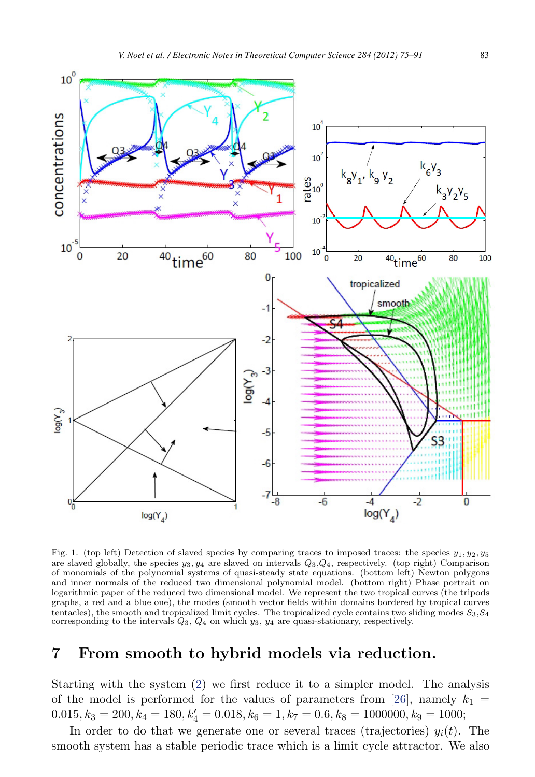

<span id="page-8-0"></span>

Fig. 1. (top left) Detection of slav[ed](#page-2-0) species by comparing traces to imposed traces: the species  $y_1, y_2, y_5$ are slaved globally, the species  $y_3, y_4$  are slaved on intervals  $Q_3, Q_4$ , respectively. (top right) Comparison of monomials of the polynomial systems of quasi-steady state equations. (botto[m lef](#page-16-0)t) Newton polygons and inner normals of the reduced two dimensional polynomial model. (bottom right) Phase portrait on logarithmic paper of the reduced two dimensional model. We represent the two tropical curves (the tripods graphs, a red and a blue one), the modes (smooth vector fields within domains bordered by tropical curves tentacles), the smooth and tropicalized limit cycles. The tropicalized cycle contains two sliding modes  $S_3, S_4$ corresponding to the intervals  $Q_3$ ,  $Q_4$  on which  $y_3$ ,  $y_4$  are quasi-stationary, respectively.

# **7 From smooth to hybrid models via reduction.**

Starting with the system (2) we first reduce it to a simpler model. The analysis of the model is performed for the values of parameters from [26], namely  $k_1 =$  $0.015, k_3 = 200, k_4 = 180, k'_4 = 0.018, k_6 = 1, k_7 = 0.6, k_8 = 1000000, k_9 = 1000;$ 

In order to do that we generate one or several traces (trajectories)  $y_i(t)$ . The smooth system has a stable periodic trace which is a limit cycle attractor. We also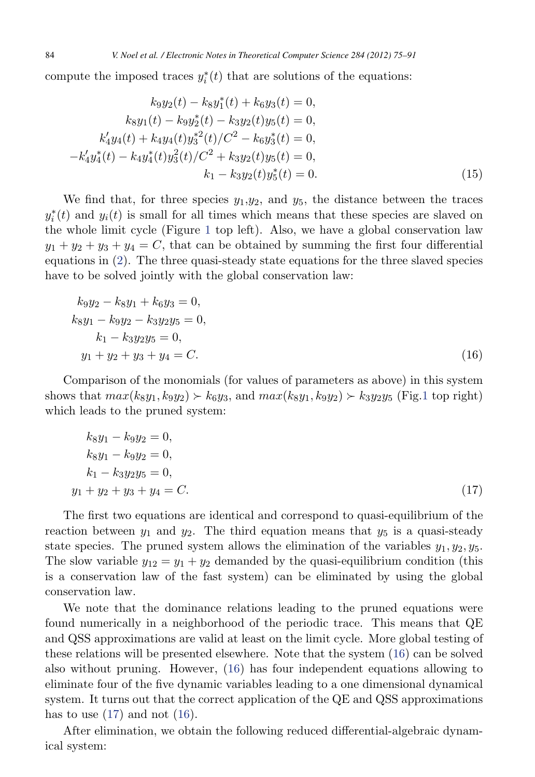compute the imposed traces  $y_i^*(t)$  that are solutions of the equations:

$$
k_9y_2(t) - k_8y_1^*(t) + k_6y_3(t) = 0,
$$
  
\n
$$
k_8y_1(t) - k_9y_2^*(t) - k_3y_2(t)y_5(t) = 0,
$$
  
\n
$$
k'_4y_4(t) + k_4y_4(t)y_3^*^2(t)/C^2 - k_6y_3^*(t) = 0,
$$
  
\n
$$
-k'_4y_4^*(t) - k_4y_4^*(t)y_3^2(t)/C^2 + k_3y_2(t)y_5(t) = 0,
$$
  
\n
$$
k_1 - k_3y_2(t)y_5^*(t) = 0.
$$
\n(15)

We find that, for three species  $y_1, y_2$ , and  $y_5$ , the distance between the traces  $y_i^*(t)$  and  $y_i(t)$  is small for all times which means that these species are slaved on the whole limit cycle (Figure 1 top left). Also, we have a global conservation law  $y_1 + y_2 + y_3 + y_4 = C$ , that can be obtained by summing the first four differential equations in (2). The three quasi-steady state equations for the three sl[av](#page-8-0)ed species have to be solved jointly with the global conservation law:

$$
k_9y_2 - k_8y_1 + k_6y_3 = 0,
$$
  
\n
$$
k_8y_1 - k_9y_2 - k_3y_2y_5 = 0,
$$
  
\n
$$
k_1 - k_3y_2y_5 = 0,
$$
  
\n
$$
y_1 + y_2 + y_3 + y_4 = C.
$$
\n(16)

Comparison of the monomials (for values of parameters as above) in this system shows that  $max(k_8y_1, k_9y_2) \succ k_6y_3$ , and  $max(k_8y_1, k_9y_2) \succ k_3y_2y_5$  (Fig.1 top right) which leads to the pruned system:

$$
k_8y_1 - k_9y_2 = 0,\nk_8y_1 - k_9y_2 = 0,\nk_1 - k_3y_2y_5 = 0,\ny_1 + y_2 + y_3 + y_4 = C.
$$
\n(17)

The first two equations are identical and correspond to quasi-equilibrium of the reaction between  $y_1$  and  $y_2$ . The third equation means that  $y_5$  [is](#page-8-0) a quasi-steady state species. The pruned system [allo](#page-8-0)ws the elimination of the variables  $y_1, y_2, y_5$ . The slow variable  $y_{12} = y_1 + y_2$  demanded by the quasi-equilibrium condition (this is a conservation law of [th](#page-8-0)e fast system) can be eliminated by using the global conservatio[n la](#page-8-0)w.

We note that the dominance relations leading to the pruned equations were found numerically in a neighborhood of the periodic trace. This means that QE and QSS approximations are valid at least on the limit cycle. More global testing of these relations will be presented elsewhere. Note that the system (16) can be solved also without pruning. However, (16) has four independent equations allowing to eliminate four of the five dynamic variables leading to a one dimensional dynamical system. It turns out that the correct application of the QE and QSS approximations has to use  $(17)$  and not  $(16)$ .

After elimination, we obtain the following reduced differential-algebraic dynamical system: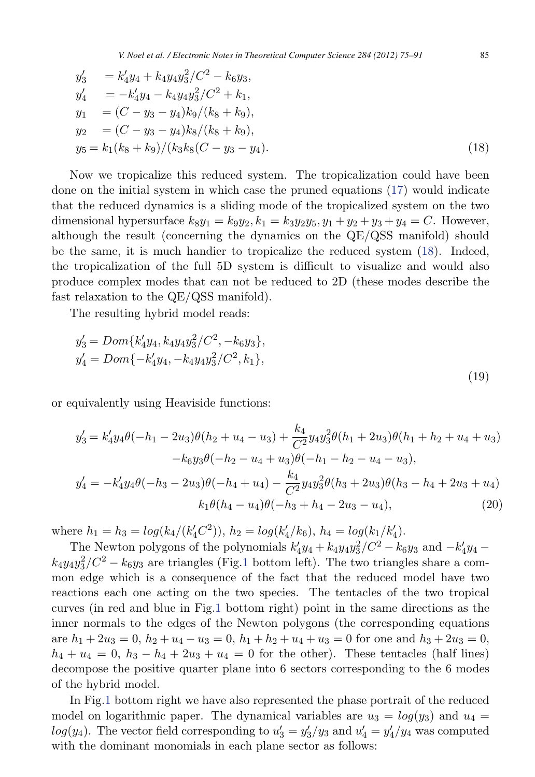$$
y'_3 = k'_4 y_4 + k_4 y_4 y_3^2 / C^2 - k_6 y_3,
$$
  
\n
$$
y'_4 = -k'_4 y_4 - k_4 y_4 y_3^2 / C^2 + k_1,
$$
  
\n
$$
y_1 = (C - y_3 - y_4) k_9 / (k_8 + k_9),
$$
  
\n
$$
y_2 = (C - y_3 - y_4) k_8 / (k_8 + k_9),
$$
  
\n
$$
y_5 = k_1 (k_8 + k_9) / (k_3 k_8 (C - y_3 - y_4)).
$$
\n(18)

Now we tropicalize this reduced system. The tropicalization could have been done on the initial system in which case the pruned equations (17) would indicate that the reduced dynamics is a sliding mode of the tropicalized system on the two dimensional hypersurface  $k_8y_1 = k_9y_2$ ,  $k_1 = k_3y_2y_5$ ,  $y_1 + y_2 + y_3 + y_4 = C$ . However, although the result (concerning the dynamics on the QE/QSS manifold) should be the same, it is much handier to tropicalize the reduced system (18). Indeed, the tropicalization of the full 5D system is difficult to visualize and would also produce complex modes that can not be reduced to 2D (these modes describe the fast relaxation to the QE/QSS manifold).

The resulting hybrid model reads:

$$
y'_3 = Dom{k'_4y_4, k_4y_4y_3^2/C^2, -k_6y_3},
$$
  
\n
$$
y'_4 = Dom{-k'_4y_4, -k_4y_4y_3^2/C^2, k_1},
$$
  
\n(19)

or equivalently using Heaviside functions:

$$
y'_3 = k'_4 y_4 \theta(-h_1 - 2u_3) \theta(h_2 + u_4 - u_3) + \frac{k_4}{C^2} y_4 y_3^2 \theta(h_1 + 2u_3) \theta(h_1 + h_2 + u_4 + u_3)
$$
  

$$
-k_6 y_3 \theta(-h_2 - u_4 + u_3) \theta(-h_1 - h_2 - u_4 - u_3),
$$
  

$$
y'_4 = -k'_4 y_4 \theta(-h_3 - 2u_3) \theta(-h_4 + u_4) - \frac{k_4}{C^2} y_4 y_3^2 \theta(h_3 + 2u_3) \theta(h_3 - h_4 + 2u_3 + u_4)
$$
  

$$
k_1 \theta(h_4 - u_4) \theta(-h_3 + h_4 - 2u_3 - u_4),
$$
 (20)

where  $h_1 = h_3 = \log(k_4/(k'_4 C^2))$ ,  $h_2 = \log(k'_4/k_6)$ ,  $h_4 = \log(k_1/k'_4)$ .

The Newton polygons of the polynomials  $k'_4y_4 + k_4y_4y_3^2/C^2 - k_6y_3$  and  $-k'_4y_4$  –  $k_4y_4y_3^2/C^2 - k_6y_3$  are triangles (Fig.1 bottom left). The two triangles share a common edge [w](#page-8-0)hich is a consequence of the fact that the reduced model have two reactions each one acting on the two species. The tentacles of the two tropical curves (in red and blue in Fig.1 bottom right) point in the same directions as the inner normals to the edges of the Newton polygons (the corresponding equations are  $h_1 + 2u_3 = 0$ ,  $h_2 + u_4 - u_3 = 0$ ,  $h_1 + h_2 + u_4 + u_3 = 0$  for one and  $h_3 + 2u_3 = 0$ ,  $h_4 + u_4 = 0$ ,  $h_3 - h_4 + 2u_3 + u_4 = 0$  for the other). These tentacles (half lines) decompose the positive quarter plane into 6 sectors corresponding to the 6 modes of the hybrid model.

In Fig.1 bottom right we have also represented the phase portrait of the reduced model on logarithmic paper. The dynamical variables are  $u_3 = log(y_3)$  and  $u_4 =$  $log(y_4)$ . The vector field corresponding to  $u'_3 = y'_3/y_3$  and  $u'_4 = y'_4/y_4$  was computed with the dominant monomials in each plane sector as follows: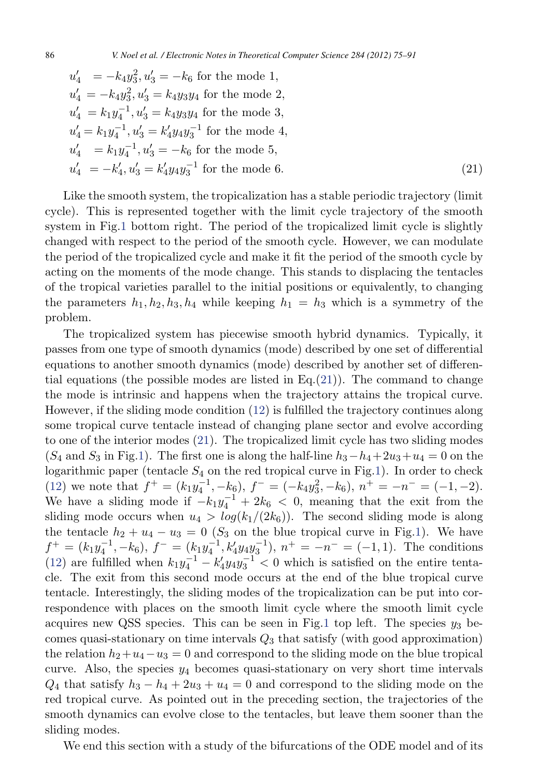$$
u'_4 = -k_4 y_3^2, u'_3 = -k_6 \text{ for the mode 1},
$$
  
\n
$$
u'_4 = -k_4 y_3^2, u'_3 = k_4 y_3 y_4 \text{ for the mode 2},
$$
  
\n
$$
u'_4 = k_1 y_4^{-1}, u'_3 = k_4 y_3 y_4 \text{ for the mode 3},
$$
  
\n
$$
u'_4 = k_1 y_4^{-1}, u'_3 = k'_4 y_4 y_3^{-1} \text{ for the mode 4},
$$
  
\n
$$
u'_4 = k_1 y_4^{-1}, u'_3 = -k_6 \text{ for the mode 5},
$$
  
\n
$$
u'_4 = -k'_4, u'_3 = k'_4 y_4 y_3^{-1} \text{ for the mode 6}.
$$
  
\n(21)

Like the smooth system, the tropicalization has a stable periodic trajectory (limit cycle). This is represented together with the limit cycle trajectory of the smooth system in Fig.1 bottom right. The period of the tropicalized limit cycle is slightly changed with respect to the period of the smooth cycle. However, we can modulate the period of the tropicalized cycle and make it fit t[he p](#page-8-0)eriod of the smooth cycle by acting on the moments of the mode change. This stands to displacing the tentacles of the tropical varieties parallel to the [init](#page-6-0)ial positions or equivalently, to changing the parameters  $h_1, h_2, h_3, h_4$  [w](#page-8-0)hile keeping  $h_1 = h_3$  which is a symmetry of the problem.

The tropicali[zed](#page-8-0) system has piecewise smooth hybrid dynamics. Typically, it passes from one type of smooth dynamics (mode) described by [on](#page-8-0)e set of differential [equ](#page-6-0)ations to another smooth dynamics (mode) described by another set of differential equations (the possible modes are listed in Eq. $(21)$ ). The command to change the mode is intrinsic and happens when the trajectory attains the tropical curve. However, if the sliding mode condition (12) is fulfilled the trajectory c[ont](#page-8-0)inues along some tropical curve tentacle instead of changing plane sector and evolve according [to](#page-6-0) [o](#page-6-0)ne of the interior modes (21). The tropicalized limit cycle has two sliding modes (S<sub>4</sub> and S<sub>3</sub> in Fig.1). The first one is along the half-line  $h_3-h_4+2u_3+u_4=0$  on the logarithmic paper (tentacle  $S_4$  on the red tropical curve in Fig.1). In order to check (12) we note that  $f^+ = (k_1 y_4^{-1}, -k_6)$ ,  $f^- = (-k_4 y_3^2, -k_6)$ ,  $n^+ = -n^- = (-1, -2)$ . We have a sliding mode if  $-k_1y_4^{-1} + 2k_6 < 0$ , m[ea](#page-8-0)ning that the exit from the sliding mode occurs when  $u_4 > log(k_1/(2k_6))$ . The second sliding mode is along the tentacle  $h_2 + u_4 - u_3 = 0$  (S<sub>3</sub> on the blue tropical curve in Fig.1). We have  $f^+ = (k_1 y_4^{-1}, -k_6), f^- = (k_1 y_4^{-1}, k_4' y_4 y_3^{-1}), n^+ = -n^- = (-1, 1).$  The conditions (12) are fulfilled when  $k_1y_4^{-1} - k_4'y_4y_3^{-1} < 0$  which is satisfied on the entire tentacle. The exit from this second mode occurs at the end of the blue tropical curve tentacle. Interestingly, the sliding modes of the tropicalization can be put into correspondence with places on the smooth limit cycle where the smooth limit cycle acquires new QSS species. This can be seen in Fig.1 top left. The species  $y_3$  becomes quasi-stationary on time intervals  $Q_3$  that satisfy (with good approximation) the relation  $h_2+u_4-u_3=0$  and correspond to the sliding mode on the blue tropical curve. Also, the species  $y_4$  becomes quasi-stationary on very short time intervals  $Q_4$  that satisfy  $h_3 - h_4 + 2u_3 + u_4 = 0$  and correspond to the sliding mode on the red tropical curve. As pointed out in the preceding section, the trajectories of the smooth dynamics can evolve close to the tentacles, but leave them sooner than the sliding modes.

We end this section with a study of the bifurcations of the ODE model and of its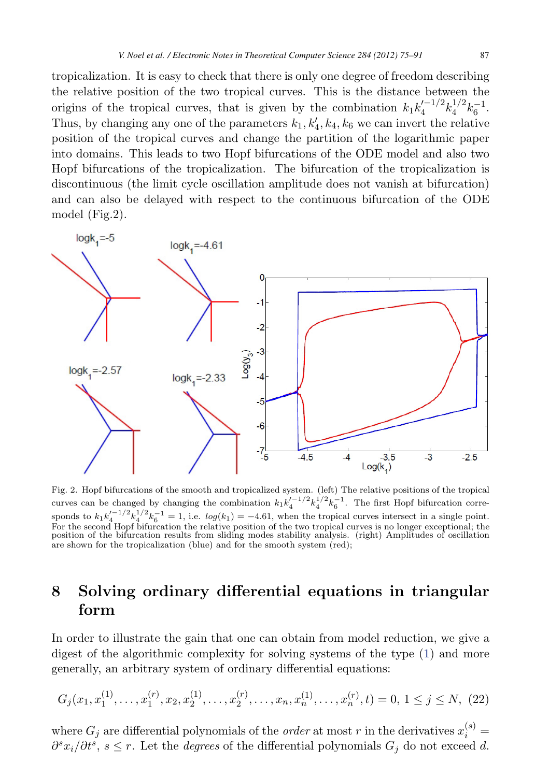<span id="page-12-0"></span>tropicalization. It is easy to check that there is only one degree of freedom describing the relative position of the two tropical curves. This is the distance between the origins of the tropical curves, that is given by the combination  $k_1k_4'^{-1/2}k_4^{1/2}k_6^{-1}$ . Thus, by changing any one of the parameters  $k_1, k'_4, k_4, k_6$  we can invert the relative position of the tropical curves and change the partition of the logarithmic paper into domains. This leads to two Hopf bifurcations of the ODE model and also two Hopf bifurcations of the tropicalization. The bifurcation of the tropicalization is discontinuous (the limit cycle oscillation amplitude does not vanish at bifurcation) and can also be delayed with respect to the continuous bifurcation of the ODE model (Fig.2).



Fig. 2. Hopf bifurcations of the smooth and tropicalized system. (left) The relative positions of the tropical curves can be changed by changing the combination  $k_1 k_4^{\prime -1/2} k_4^{1/2} k_6^{-1}$ . The first Hopf bifurcation corresponds to  $k_1k_4'^{-1/2}k_4^{1/2}k_6^{-1} = 1$ , i.e.  $log(k_1) = -4.61$ , when the tropical curves intersect in a single point.<br>For the second Hopf bifurcation the relative position of the two tropical curves is no longer [ex](#page-2-0)ceptiona position of the bifurcation results from sliding modes stability analysis. (right) Amplitudes of oscillation are shown for the tropicalization (blue) and for the smooth system (red);

# **8 Solving ordinary differential equations in triangular form**

In order to illustrate the gain that one can obtain from model reduction, we give a digest of the algorithmic complexity for solving systems of the type (1) and more generally, an arbitrary system of ordinary differential equations:

$$
G_j(x_1, x_1^{(1)}, \dots, x_1^{(r)}, x_2, x_2^{(1)}, \dots, x_2^{(r)}, \dots, x_n, x_n^{(1)}, \dots, x_n^{(r)}, t) = 0, 1 \le j \le N, (22)
$$

where  $G_j$  are differential polynomials of the *order* at most r in the derivatives  $x_i^{(s)} =$  $\partial^s x_i/\partial t^s$ ,  $s \leq r$ . Let the *degrees* of the differential polynomials  $G_j$  do not exceed d.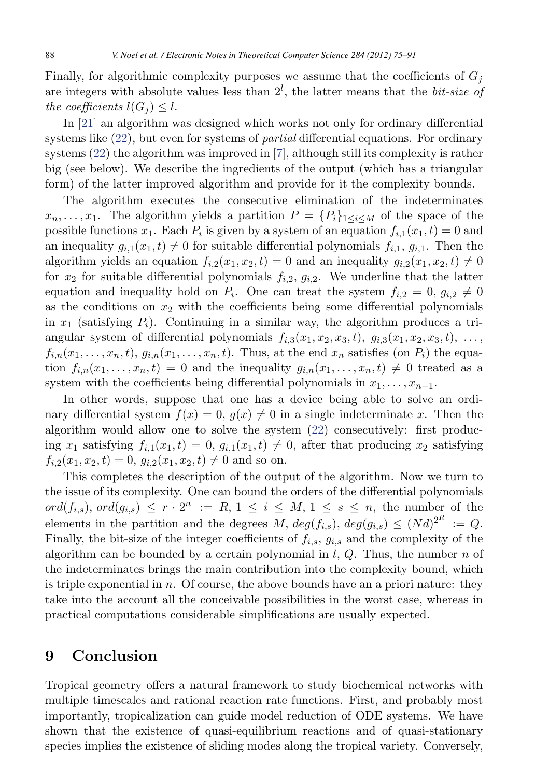Finally, for algorithmic complexity purposes we assume that the coefficients of  $G_i$ are integers with absolute values less than  $2^l$ , the latter means that the *bit-size of* the coefficients  $l(G_i) \leq l$ .

In [21] an algorithm was designed which works not only for ordinary differential systems like  $(22)$ , but even for systems of *partial* differential equations. For ordinary systems (22) the algorithm was improved in [7], although still its complexity is rather big (see below). We describe the ingredients of the output (which has a triangular form) of the latter improved algorithm and provide for it the complexity bounds.

The algorithm executes the consecutive elimination of the indeterminates  $x_n, \ldots, x_1$ . The algorithm yields a partition  $P = \{P_i\}_{1 \leq i \leq M}$  of the space of the possible functions  $x_1$ . Each  $P_i$  is given by a system of an equation  $f_{i,1}(x_1,t) = 0$  and an inequality  $g_{i,1}(x_1, t) \neq 0$  for suitable differential polynomials  $f_{i,1}, g_{i,1}$ . Then the algorithm yields an equation  $f_{i,2}(x_1, x_2, t) = 0$  and an inequality  $g_{i,2}(x_1, x_2, t) \neq 0$ for  $x_2$  for suitable differential polynomials  $f_{i,2}, g_{i,2}$ . We underline that the latter equation and inequality hold on  $P_i$ . One can treat the system  $f_{i,2} = 0, g_{i,2} \neq 0$ as the conditions on  $x_2$  with the coefficients bei[ng](#page-12-0) some differential polynomials in  $x_1$  (satisfying  $P_i$ ). Continuing in a similar way, the algorithm produces a triangular system of differential polynomials  $f_{i,3}(x_1, x_2, x_3, t), g_{i,3}(x_1, x_2, x_3, t), \ldots$  $f_{i,n}(x_1,\ldots,x_n,t)$ ,  $g_{i,n}(x_1,\ldots,x_n,t)$ . Thus, at the end  $x_n$  satisfies (on  $P_i$ ) the equation  $f_{i,n}(x_1,\ldots,x_n,t) = 0$  and the inequality  $g_{i,n}(x_1,\ldots,x_n,t) \neq 0$  treated as a system with the coefficients being differential polynomials in  $x_1, \ldots, x_{n-1}$ .

In other words, suppose that one has a device being able to solve an ordinary differential system  $f(x)=0$ ,  $g(x) \neq 0$  in a single indeterminate x. Then the algorithm would allow one to solve the system (22) consecutively: first producing  $x_1$  satisfying  $f_{i,1}(x_1, t)=0$ ,  $g_{i,1}(x_1, t) \neq 0$ , after that producing  $x_2$  satisfying  $f_{i,2}(x_1, x_2, t) = 0$ ,  $g_{i,2}(x_1, x_2, t) \neq 0$  and so on.

This completes the description of the output of the algorithm. Now we turn to the issue of its complexity. One can bound the orders of the differential polynomials  $ord(f_{i,s}), ord(g_{i,s}) \leq r \cdot 2^n := R, 1 \leq i \leq M, 1 \leq s \leq n$ , the number of the elements in the partition and the degrees M,  $deg(f_{i,s})$ ,  $deg(g_{i,s}) \leq (Nd)^{2^R} := Q$ . Finally, the bit-size of the integer coefficients of  $f_{i,s}$ ,  $g_{i,s}$  and the complexity of the algorithm can be bounded by a certain polynomial in  $l, Q$ . Thus, the number n of the indeterminates brings the main contribution into the complexity bound, which is triple exponential in  $n$ . Of course, the above bounds have an a priori nature: they take into the account all the conceivable possibilities in the worst case, whereas in practical computations considerable simplifications are usually expected.

### **9 Conclusion**

Tropical geometry offers a natural framework to study biochemical networks with multiple timescales and rational reaction rate functions. First, and probably most importantly, tropicalization can guide model reduction of ODE systems. We have shown that the existence of quasi-equilibrium reactions and of quasi-stationary species implies the existence of sliding modes along the tropical variety. Conversely,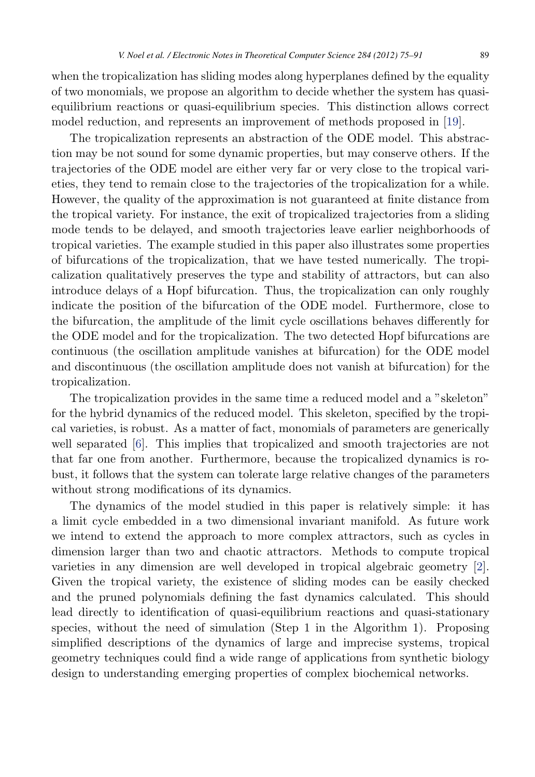when the tropicalization has sliding modes along hyperplanes defined by the equality of two monomials, we propose an algorithm to decide whether the system has quasiequilibrium reactions or quasi-equilibrium species. This distinction allows correct model reduction, and represents an improvement of methods proposed in [19].

The tropicalization represents an abstraction of the ODE model. This abstraction may be not sound for some dynamic properties, but may conserve others. If the trajectories of the ODE model are either very far or very close to the tropical varieties, they tend to remain close to the trajectories of the tropicalization for a while. However, the quality of the approximation is not guaranteed at finite distance from the tropical variety. For instance, the exit of tropicalized trajectories from a sliding mode tends to be delayed, and smooth trajectories leave earlier neighborhoods of tropical varieties. The example studied in this paper also illustrates some properties of bifurcations of the tropicalization, that we have tested numerically. The tropicalization qualitatively preserves the type and stability of attractors, but can also introduce delays of a Hopf bifurcation. Thus, the tropicalization can only roughly indicate the position of the bifurcation of the ODE model. Furthermore, close to the bifurcation, [th](#page-15-0)e amplitude of the limit cycle oscillations behaves differently for the ODE model and for the tropicalization. The two detected Hopf bifurcations are continuous (the oscillation amplitude vanishes at bifurcation) for the ODE model and discontinuous (the oscillation amplitude does not vanish at bifurcation) for the tropicalization.

The tropicalization provides in the same time a reduced model and a "skeleton" for the hybrid dynamics of the reduced model. This skeleton, specified by the tropical varieties, is robust. As a matter of fact, monomials of parameters are generically well separated [6]. This implies that tropicalized and smooth trajectories are [no](#page-15-0)t that far one from another. Furthermore, because the tropicalized dynamics is robust, it follows that the system can tolerate large relative changes of the parameters without strong modifications of its dynamics.

The dynamics of the model studied in this paper is relatively simple: it has a limit cycle embedded in a two dimensional invariant manifold. As future work we intend to extend the approach to more complex attractors, such as cycles in dimension larger than two and chaotic attractors. Methods to compute tropical varieties in any dimension are well developed in tropical algebraic geometry [2]. Given the tropical variety, the existence of sliding modes can be easily checked and the pruned polynomials defining the fast dynamics calculated. This should lead directly to identification of quasi-equilibrium reactions and quasi-stationary species, without the need of simulation (Step 1 in the Algorithm 1). Proposing simplified descriptions of the dynamics of large and imprecise systems, tropical geometry techniques could find a wide range of applications from synthetic biology design to understanding emerging properties of complex biochemical networks.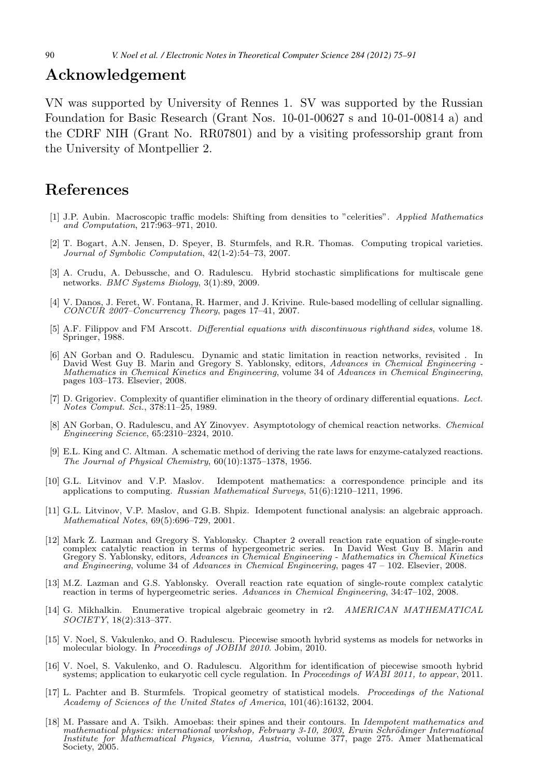### <span id="page-15-0"></span>**Acknowledgement**

VN was supported by University of Rennes 1. SV was supported by the Russian Foundation for Basic Research (Grant Nos. 10-01-00627 s and 10-01-00814 a) and the CDRF NIH (Grant No. RR07801) and by a visiting professorship grant from the University of Montpellier 2.

# **References**

- [1] J.P. Aubin. Macroscopic traffic models: Shifting from densities to "celerities". Applied Mathematics and Computation, 217:963–971, 2010.
- [2] T. Bogart, A.N. Jensen, D. Speyer, B. Sturmfels, and R.R. Thomas. Computing tropical varieties. Journal of Symbolic Computation, 42(1-2):54–73, 2007.
- [3] A. Crudu, A. Debussche, and O. Radulescu. Hybrid stochastic simplifications for multiscale gene networks. BMC Systems Biology, 3(1):89, 2009.
- [4] V. Danos, J. Feret, W. Fontana, R. Harmer, and J. Krivine. Rule-based modelling of cellular signalling. CONCUR 2007–Concurrency Theory, pages 17–41, 2007.
- [5] A.F. Filippov and FM Arscott. Differential equations with discontinuous righthand sides, volume 18. Springer, 1988.
- [6] AN Gorban and O. Radulescu. Dynamic and static limitation in reaction networks, revisited . In David West Guy B. Marin and Gregory S. Yablonsky, editors, Advances in Chemical Engineering Mathematics in Chemical Kinetics and Engineering, volume 34 of Advances in Chemical Engineering, pages 103–173. Elsevier, 2008.
- [7] D. Grigoriev. Complexity of quantifier elimination in the theory of ordinary differential equations. Lect. Notes Comput. Sci., 378:11–25, 1989.
- [8] AN Gorban, O. Radulescu, and AY Zinovyev. Asymptotology of chemical reaction networks. *Chemical* Engineering Science, 65:2310–2324, 2010.
- [9] E.L. King and C. Altman. A schematic method of deriving the rate laws for enzyme-catalyzed reactions. The Journal of Physical Chemistry, 60(10):1375–1378, 1956.
- [10] G.L. Litvinov and V.P. Maslov. Idempotent mathematics: a correspondence principle and its applications to computing. Russian Mathematical Surveys, 51(6):1210–1211, 1996.
- [11] G.L. Litvinov, V.P. Maslov, and G.B. Shpiz. Idempotent functional analysis: an algebraic approach. Mathematical Notes, 69(5):696–729, 2001.
- [12] Mark Z. Lazman and Gregory S. Yablonsky. Chapter 2 overall reaction rate equation of single-route complex catalytic reaction in terms of hypergeometric series. In David West Guy B. Marin and Gregory S. Yablonsky, editors, Advances in Chemical Engineering - Mathematics in Chemical Kinetics and Engineering, volume 34 of Advances in Chemical Engineering, pages 47 – 102. Elsevier, 2008.
- [13] M.Z. Lazman and G.S. Yablonsky. Overall reaction rate equation of single-route complex catalytic reaction in terms of hypergeometric series. Advances in Chemical Engineering, 34:47–102, 2008.
- [14] G. Mikhalkin. Enumerative tropical algebraic geometry in r2. AMERICAN MATHEMATICAL SOCIETY, 18(2):313–377.
- [15] V. Noel, S. Vakulenko, and O. Radulescu. Piecewise smooth hybrid systems as models for networks in molecular biology. In Proceedings of JOBIM 2010. Jobim, 2010.
- [16] V. Noel, S. Vakulenko, and O. Radulescu. Algorithm for identification of piecewise smooth hybrid systems; application to eukaryotic cell cycle regulation. In *Proceedings of WABI 2011, to appear*, 2011.
- [17] L. Pachter and B. Sturmfels. Tropical geometry of statistical models. Proceedings of the National Academy of Sciences of the United States of America, 101(46):16132, 2004.
- [18] M. Passare and A. Tsikh. Amoebas: their spines and their contours. In *Idempotent mathematics and mathematical physics: international workshop, February 3-10, 2003, Erwin Schrödinger International Institute for Mathem*